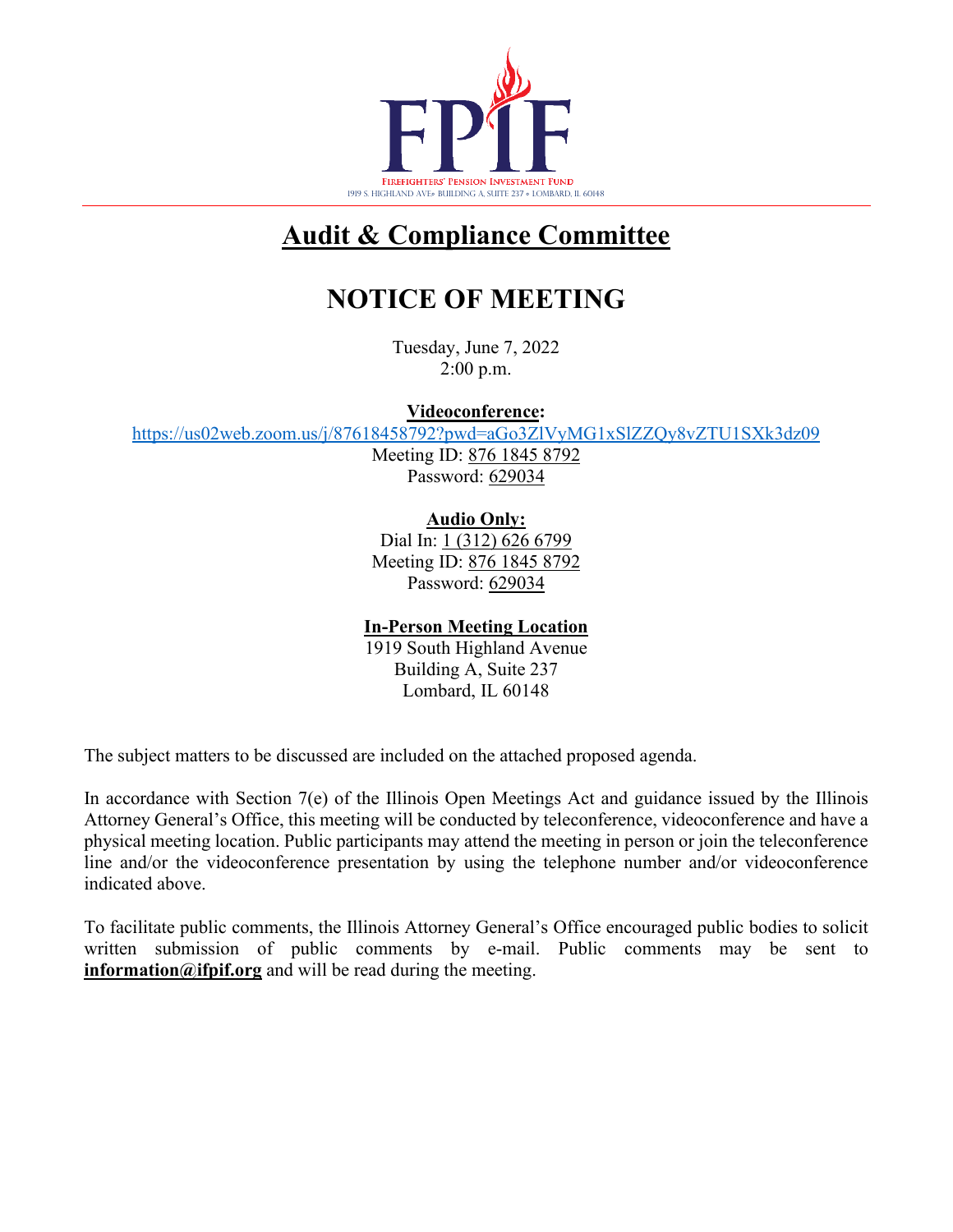

# **Audit & Compliance Committee**

# **NOTICE OF MEETING**

Tuesday, June 7, 2022 2:00 p.m.

**Videoconference:**

<https://us02web.zoom.us/j/87618458792?pwd=aGo3ZlVyMG1xSlZZQy8vZTU1SXk3dz09>

Meeting ID: 876 1845 8792 Password: 629034

**Audio Only:**

Dial In: 1 (312) 626 6799 Meeting ID: 876 1845 8792 Password: 629034

### **In-Person Meeting Location**

1919 South Highland Avenue Building A, Suite 237 Lombard, IL 60148

The subject matters to be discussed are included on the attached proposed agenda.

In accordance with Section 7(e) of the Illinois Open Meetings Act and guidance issued by the Illinois Attorney General's Office, this meeting will be conducted by teleconference, videoconference and have a physical meeting location. Public participants may attend the meeting in person or join the teleconference line and/or the videoconference presentation by using the telephone number and/or videoconference indicated above.

To facilitate public comments, the Illinois Attorney General's Office encouraged public bodies to solicit written submission of public comments by e-mail. Public comments may be sent to **information@ifpif.org** and will be read during the meeting.